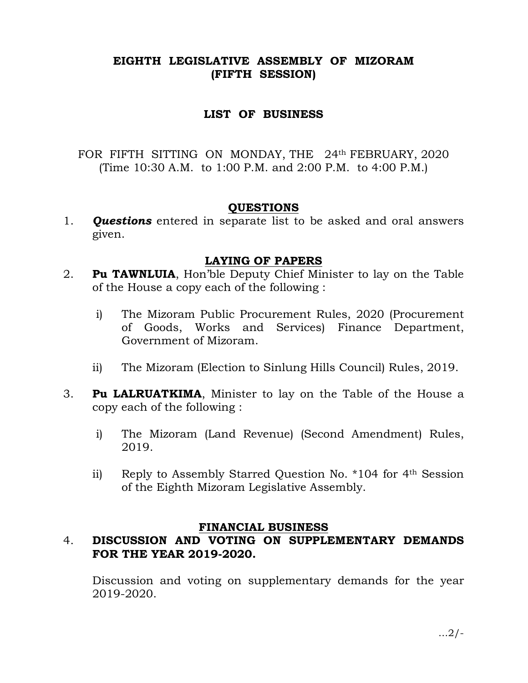# EIGHTH LEGISLATIVE ASSEMBLY OF MIZORAM (FIFTH SESSION)

## LIST OF BUSINESS

FOR FIFTH SITTING ON MONDAY, THE 24th FEBRUARY, 2020 (Time 10:30 A.M. to 1:00 P.M. and 2:00 P.M. to 4:00 P.M.)

## QUESTIONS

1. **Questions** entered in separate list to be asked and oral answers given.

## LAYING OF PAPERS

- 2. Pu TAWNLUIA, Hon'ble Deputy Chief Minister to lay on the Table of the House a copy each of the following :
	- i) The Mizoram Public Procurement Rules, 2020 (Procurement of Goods, Works and Services) Finance Department, Government of Mizoram.
	- ii) The Mizoram (Election to Sinlung Hills Council) Rules, 2019.
- 3. Pu LALRUATKIMA, Minister to lay on the Table of the House a copy each of the following :
	- i) The Mizoram (Land Revenue) (Second Amendment) Rules, 2019.
	- ii) Reply to Assembly Starred Question No. \*104 for 4th Session of the Eighth Mizoram Legislative Assembly.

### FINANCIAL BUSINESS

# 4. DISCUSSION AND VOTING ON SUPPLEMENTARY DEMANDS FOR THE YEAR 2019-2020.

 Discussion and voting on supplementary demands for the year 2019-2020.